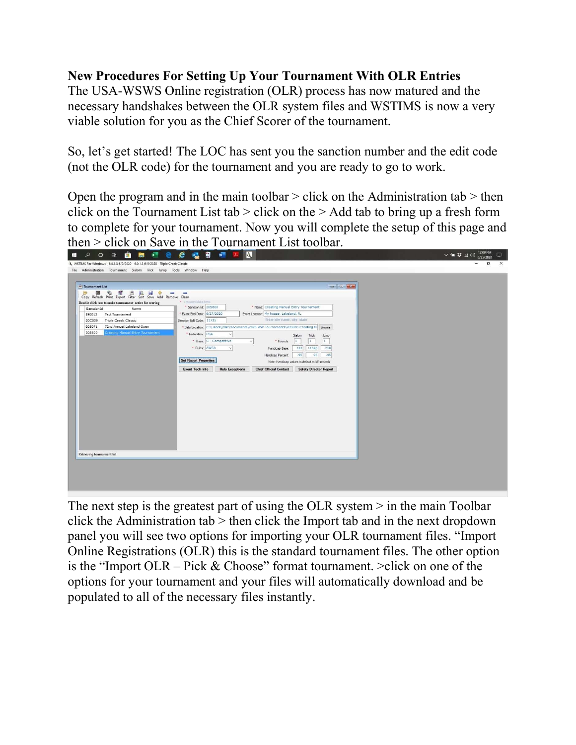## New Procedures For Setting Up Your Tournament With OLR Entries

The USA-WSWS Online registration (OLR) process has now matured and the necessary handshakes between the OLR system files and WSTIMS is now a very viable solution for you as the Chief Scorer of the tournament.

So, let's get started! The LOC has sent you the sanction number and the edit code (not the OLR code) for the tournament and you are ready to go to work.

Open the program and in the main toolbar  $>$  click on the Administration tab  $>$  then click on the Tournament List tab  $>$  click on the  $>$  Add tab to bring up a fresh form to complete for your tournament. Now you will complete the setup of this page and then > click on Save in the Tournament List toolbar.



The next step is the greatest part of using the OLR system > in the main Toolbar click the Administration tab > then click the Import tab and in the next dropdown panel you will see two options for importing your OLR tournament files. "Import Online Registrations (OLR) this is the standard tournament files. The other option is the "Import OLR – Pick & Choose" format tournament. >click on one of the options for your tournament and your files will automatically download and be populated to all of the necessary files instantly.